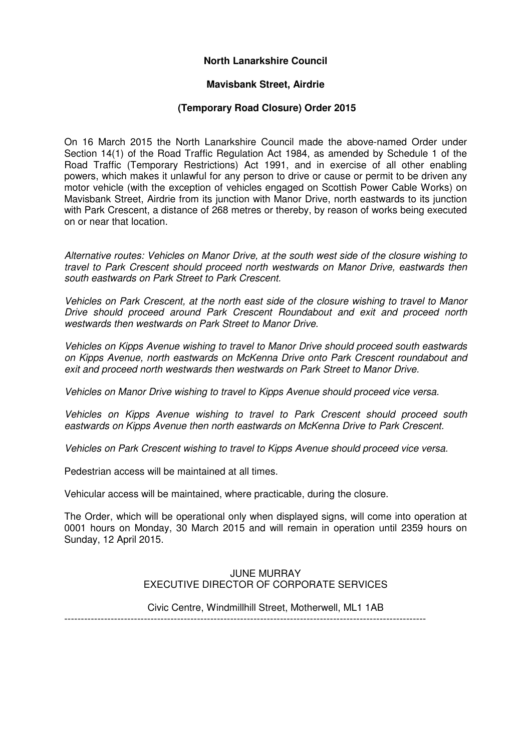# **North Lanarkshire Council**

#### **Mavisbank Street, Airdrie**

#### **(Temporary Road Closure) Order 2015**

On 16 March 2015 the North Lanarkshire Council made the above-named Order under Section 14(1) of the Road Traffic Regulation Act 1984, as amended by Schedule 1 of the Road Traffic (Temporary Restrictions) Act 1991, and in exercise of all other enabling powers, which makes it unlawful for any person to drive or cause or permit to be driven any motor vehicle (with the exception of vehicles engaged on Scottish Power Cable Works) on Mavisbank Street, Airdrie from its junction with Manor Drive, north eastwards to its junction with Park Crescent, a distance of 268 metres or thereby, by reason of works being executed on or near that location.

Alternative routes: Vehicles on Manor Drive, at the south west side of the closure wishing to travel to Park Crescent should proceed north westwards on Manor Drive, eastwards then south eastwards on Park Street to Park Crescent.

Vehicles on Park Crescent, at the north east side of the closure wishing to travel to Manor Drive should proceed around Park Crescent Roundabout and exit and proceed north westwards then westwards on Park Street to Manor Drive.

Vehicles on Kipps Avenue wishing to travel to Manor Drive should proceed south eastwards on Kipps Avenue, north eastwards on McKenna Drive onto Park Crescent roundabout and exit and proceed north westwards then westwards on Park Street to Manor Drive.

Vehicles on Manor Drive wishing to travel to Kipps Avenue should proceed vice versa.

Vehicles on Kipps Avenue wishing to travel to Park Crescent should proceed south eastwards on Kipps Avenue then north eastwards on McKenna Drive to Park Crescent.

Vehicles on Park Crescent wishing to travel to Kipps Avenue should proceed vice versa.

Pedestrian access will be maintained at all times.

Vehicular access will be maintained, where practicable, during the closure.

The Order, which will be operational only when displayed signs, will come into operation at 0001 hours on Monday, 30 March 2015 and will remain in operation until 2359 hours on Sunday, 12 April 2015.

#### JUNE MURRAY EXECUTIVE DIRECTOR OF CORPORATE SERVICES

Civic Centre, Windmillhill Street, Motherwell, ML1 1AB

-------------------------------------------------------------------------------------------------------------